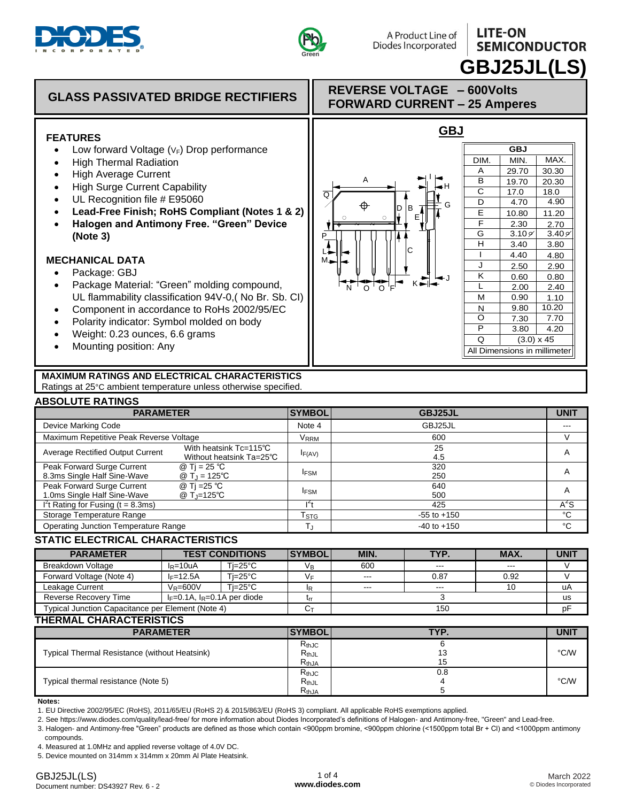



## **LITE-ON SEMICONDUCTOR GBJ25JL(LS)**

#### **GLASS PASSIVATED BRIDGE RECTIFIERS REVERSE VOLTAGE – 600Volts FORWARD CURRENT – 25 Amperes GBJ FEATURES**  • Low forward Voltage  $(V_F)$  Drop performance **GBJ** DIM. MIN. | MAX. • High Thermal Radiation A 29.70 30.30 • High Average Current I A  $\overline{B}$  $19.70$  20.30 • High Surge Current Capability H  $\overline{\text{c}}$  $17.0$  | 18.0  $\overline{\Omega}$ • UL Recognition file # E95060  $\overline{\mathsf{D}}$  $4.90$  4.70  $\circ$ G **Lead-Free Finish; RoHS Compliant (Notes 1 & 2)** D B E 10.80 11.20 E **Halogen and Antimony Free. "Green" Device**   $+\frac{9}{2}$   $-\frac{9}{2}$ F  $2.30$  2.70  $3.10 \frac{9}{1}$  3.40  $\frac{9}{1}$ G **(Note 3)** P\_  $\overline{H}$  $3.40$ 3.80 C L  $1 | 4.40 | 4.80$ **MECHANICAL DATA**  M J  $2.50$  2.90 • Package: GBJ K  $0.60$  0.80 J Package Material: "Green" molding compound, K L 2.00 2.40 N O OF o ' o UL flammability classification 94V-0,( No Br. Sb. CI) M  $0.90$  1.10 Component in accordance to RoHs 2002/95/EC N 9.80 10.20  $\overline{O}$  7.30 7.70 Polarity indicator: Symbol molded on body  $\overline{\mathsf{P}}$  3.80 4.20 Weight: 0.23 ounces, 6.6 grams  $\overline{Q}$  $(3.0) \times 45$  Mounting position: Any All Dimensions in millimeter **MAXIMUM RATINGS AND ELECTRICAL CHARACTERISTICS**  Ratings at 25°C ambient temperature unless otherwise specified.

### **ABSOLUTE RATINGS**

| <b>PARAMETER</b>                                                                                    |                                                    | <b>SYMBOL</b>               | GBJ25JL         | <b>UNIT</b>             |
|-----------------------------------------------------------------------------------------------------|----------------------------------------------------|-----------------------------|-----------------|-------------------------|
| Device Marking Code                                                                                 |                                                    | Note 4                      | GBJ25JL         | ---                     |
| Maximum Repetitive Peak Reverse Voltage                                                             |                                                    | <b>VRRM</b>                 | 600             |                         |
| <b>Average Rectified Output Current</b>                                                             | With heatsink Tc=115°C<br>Without heatsink Ta=25°C | $I_{F(AV)}$                 | 25<br>4.5       | A                       |
| Peak Forward Surge Current<br>@ Ti = 25 °C<br>8.3ms Single Half Sine-Wave<br>@ $T_{\rm J}$ = 125°C  |                                                    | <b>IFSM</b>                 | 320<br>250      | $\overline{\mathsf{A}}$ |
| Peak Forward Surge Current<br>@ Ti =25 °C<br>1.0ms Single Half Sine-Wave<br>@ T <sub>J</sub> =125°C |                                                    | <b>IFSM</b>                 | 640<br>500      | A                       |
| I't Rating for Fusing ( $t = 8.3$ ms)                                                               |                                                    |                             | 425             | $A^2S$                  |
| Storage Temperature Range                                                                           |                                                    | $\mathsf{T}_{\textsf{STG}}$ | $-55$ to $+150$ | °C                      |
| Operating Junction Temperature Range                                                                |                                                    |                             | $-40$ to $+150$ | °C                      |

### **STATIC ELECTRICAL CHARACTERISTICS**

| <b>PARAMETER</b>                                  | <b>TEST CONDITIONS</b>            |  | <b>SYMBOL</b>    | MIN.    | TYP.    | MAX.    | <b>UNIT</b> |
|---------------------------------------------------|-----------------------------------|--|------------------|---------|---------|---------|-------------|
| <b>Breakdown Voltage</b>                          | Ti=25°C<br>$IR=10uA$              |  | $V_{\mathsf{B}}$ | 600     | $- - -$ | $- - -$ |             |
| Forward Voltage (Note 4)                          | Ti=25°C<br>$I = 12.5A$            |  | V⊧               | $- - -$ | 0.87    | 0.92    |             |
| Leakage Current                                   | Ti=25°C<br>$V_R = 600V$           |  |                  | $-$     | $- - -$ | 10      | uA          |
| Reverse Recovery Time                             | $I_F=0.1A$ , $I_R=0.1A$ per diode |  |                  |         | us      |         |             |
| Typical Junction Capacitance per Element (Note 4) |                                   |  |                  |         | pF      |         |             |

### **THERMAL CHARACTERISTICS**

| <b>PARAMETER</b>                              | <b>SYMBOL</b>             | TYP. | <b>UNIT</b> |  |  |  |  |
|-----------------------------------------------|---------------------------|------|-------------|--|--|--|--|
| Typical Thermal Resistance (without Heatsink) | $R_{th,JC}$<br>$R_{thJL}$ |      | °C/W        |  |  |  |  |
|                                               | $R_{thJA}$                |      |             |  |  |  |  |
|                                               | $R_{th,JC}$               | 0.8  |             |  |  |  |  |
| Typical thermal resistance (Note 5)           | $R_{thJL}$                |      | °C/W        |  |  |  |  |
|                                               | $R_{thJA}$                |      |             |  |  |  |  |

**Notes:**

1. EU Directive 2002/95/EC (RoHS), 2011/65/EU (RoHS 2) & 2015/863/EU (RoHS 3) compliant. All applicable RoHS exemptions applied.

2. See https://www.diodes.com/quality/lead-free/ for more information about Diodes Incorporated's definitions of Halogen- and Antimony-free, "Green" and Lead-free.

3. Halogen- and Antimony-free "Green" products are defined as those which contain <900ppm bromine, <900ppm chlorine (<1500ppm total Br + Cl) and <1000ppm antimony

compounds.

4. Measured at 1.0MHz and applied reverse voltage of 4.0V DC.

5. Device mounted on 314mm x 314mm x 20mm Al Plate Heatsink.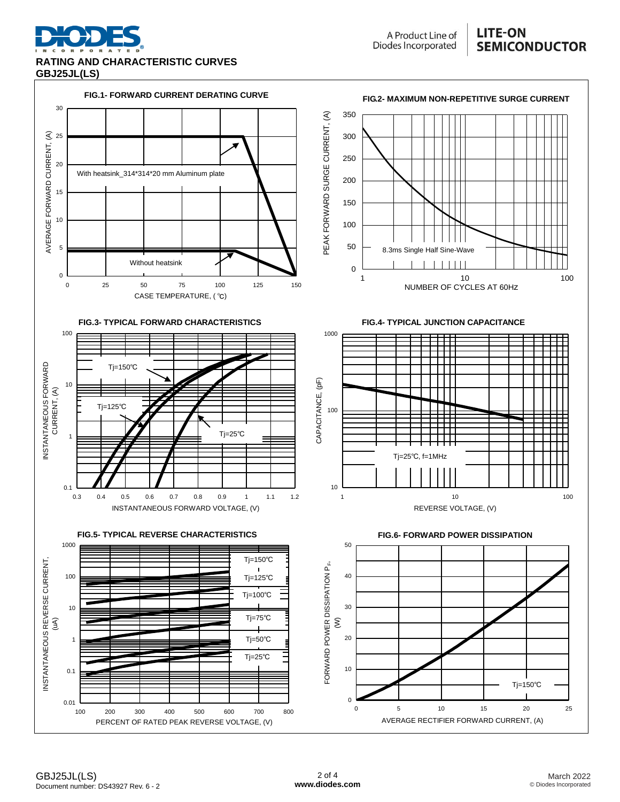

A Product Line of Diodes Incorporated

### **LITE-ON SEMICONDUCTOR**

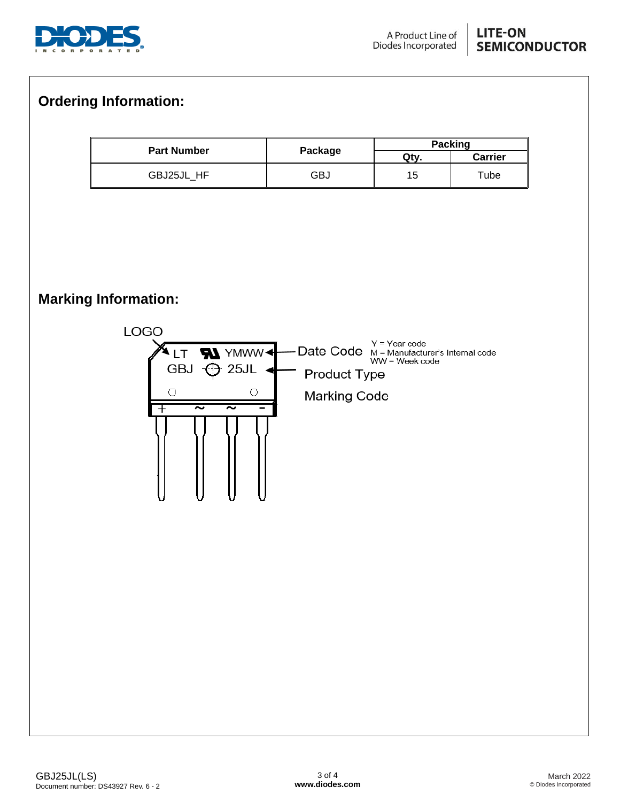

### **LITE-ON SEMICONDUCTOR**

# **Ordering Information:**

| <b>Part Number</b> |         | <b>Packing</b> |            |  |  |
|--------------------|---------|----------------|------------|--|--|
|                    | Package | Qty            | Carrier    |  |  |
| GBJ25JL HF         | GBJ     | C              | $\tau$ ube |  |  |

# **Marking Information:**